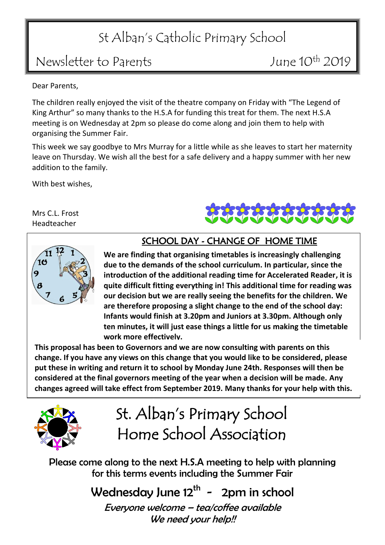# St Alban's Catholic Primary School

### Newsletter to Parents Metal Control 10th 2019

Dear Parents,

The children really enjoyed the visit of the theatre company on Friday with "The Legend of King Arthur" so many thanks to the H.S.A for funding this treat for them. The next H.S.A meeting is on Wednesday at 2pm so please do come along and join them to help with organising the Summer Fair.

This week we say goodbye to Mrs Murray for a little while as she leaves to start her maternity leave on Thursday. We wish all the best for a safe delivery and a happy summer with her new addition to the family.

With best wishes,

Mrs C.L. Frost Headteacher





### SCHOOL DAY - CHANGE OF HOME TIME

l, **are therefore proposing a slight change to the end of the school day: Infants would finish at 3.20pm and Juniors at 3.30pm. Although only**  This proposal has been to Governors and we are now consulting with parents on this<br>This proposal has been to Governors and we are now consulting with parents on this **We are finding that organising timetables is increasingly challenging due to the demands of the school curriculum. In particular, since the introduction of the additional reading time for Accelerated Reader, it is quite difficult fitting everything in! This additional time for reading was our decision but we are really seeing the benefits for the children. We ten minutes, it will just ease things a little for us making the timetable work more effectively.**

 **change. If you have any views on this change that you would like to be considered, please considered at the final governors meeting of the year when a decision will be made. Any put these in writing and return it to school by Monday June 24th. Responses will then be changes agreed will take effect from September 2019. Many thanks for your help with this.**



St. Alban's Primary School Home School Association

Please come along to the next H.S.A meeting to help with planning for this terms events including the Summer Fair

> Wednesday June 12<sup>th</sup> - 2pm in school Everyone welcome – tea/coffee available We need your help!!